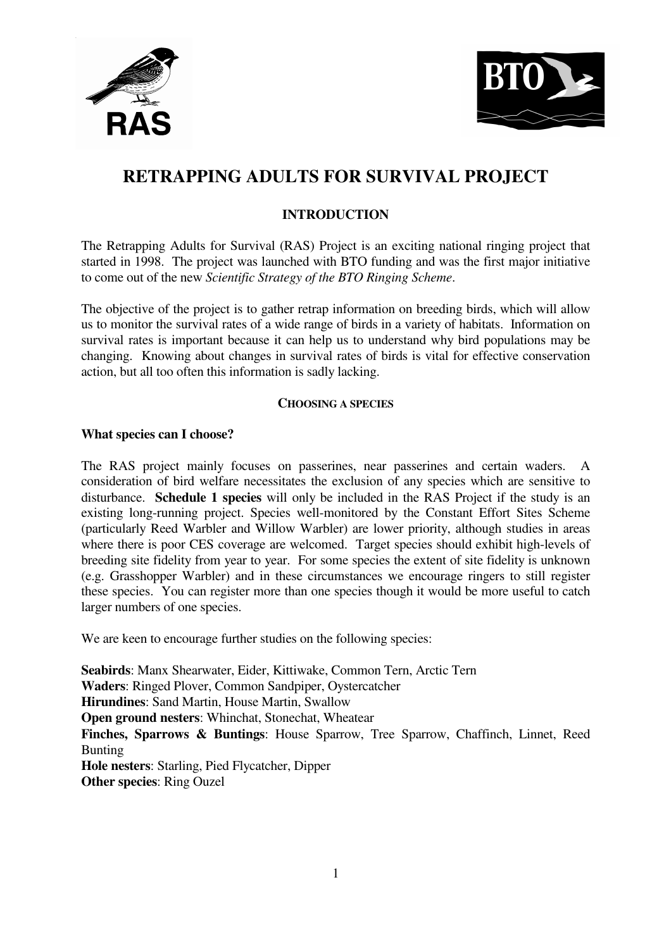



# **RETRAPPING ADULTS FOR SURVIVAL PROJECT**

## **INTRODUCTION**

The Retrapping Adults for Survival (RAS) Project is an exciting national ringing project that started in 1998. The project was launched with BTO funding and was the first major initiative to come out of the new *Scientific Strategy of the BTO Ringing Scheme*.

The objective of the project is to gather retrap information on breeding birds, which will allow us to monitor the survival rates of a wide range of birds in a variety of habitats. Information on survival rates is important because it can help us to understand why bird populations may be changing. Knowing about changes in survival rates of birds is vital for effective conservation action, but all too often this information is sadly lacking.

## **CHOOSING A SPECIES**

## **What species can I choose?**

The RAS project mainly focuses on passerines, near passerines and certain waders. A consideration of bird welfare necessitates the exclusion of any species which are sensitive to disturbance. **Schedule 1 species** will only be included in the RAS Project if the study is an existing long-running project. Species well-monitored by the Constant Effort Sites Scheme (particularly Reed Warbler and Willow Warbler) are lower priority, although studies in areas where there is poor CES coverage are welcomed. Target species should exhibit high-levels of breeding site fidelity from year to year. For some species the extent of site fidelity is unknown (e.g. Grasshopper Warbler) and in these circumstances we encourage ringers to still register these species. You can register more than one species though it would be more useful to catch larger numbers of one species.

We are keen to encourage further studies on the following species:

**Seabirds**: Manx Shearwater, Eider, Kittiwake, Common Tern, Arctic Tern **Waders**: Ringed Plover, Common Sandpiper, Oystercatcher **Hirundines**: Sand Martin, House Martin, Swallow **Open ground nesters**: Whinchat, Stonechat, Wheatear **Finches, Sparrows & Buntings**: House Sparrow, Tree Sparrow, Chaffinch, Linnet, Reed Bunting **Hole nesters**: Starling, Pied Flycatcher, Dipper **Other species**: Ring Ouzel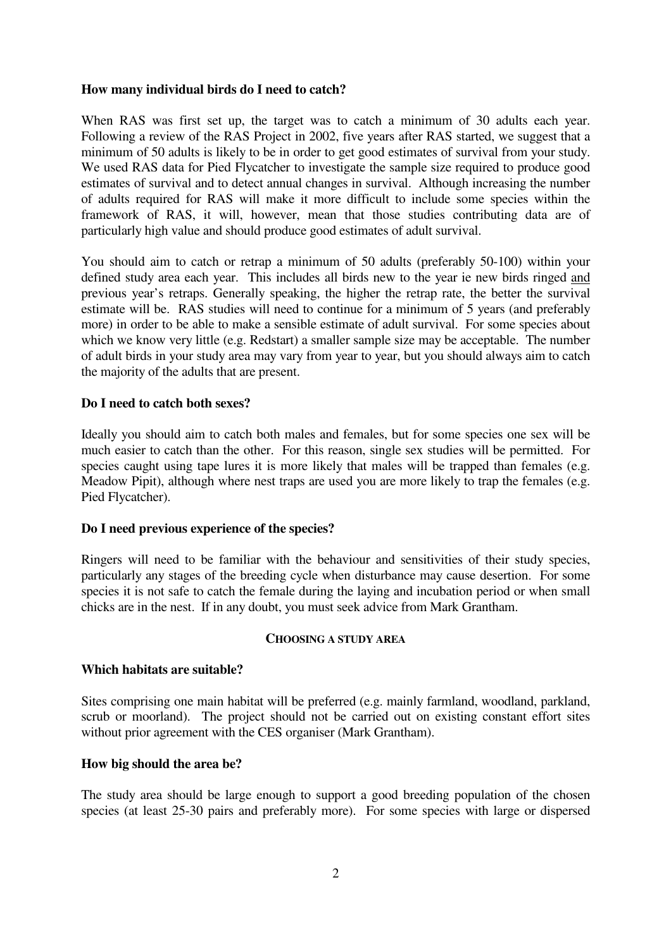## **How many individual birds do I need to catch?**

When RAS was first set up, the target was to catch a minimum of 30 adults each year. Following a review of the RAS Project in 2002, five years after RAS started, we suggest that a minimum of 50 adults is likely to be in order to get good estimates of survival from your study. We used RAS data for Pied Flycatcher to investigate the sample size required to produce good estimates of survival and to detect annual changes in survival. Although increasing the number of adults required for RAS will make it more difficult to include some species within the framework of RAS, it will, however, mean that those studies contributing data are of particularly high value and should produce good estimates of adult survival.

You should aim to catch or retrap a minimum of 50 adults (preferably 50-100) within your defined study area each year. This includes all birds new to the year ie new birds ringed and previous year's retraps. Generally speaking, the higher the retrap rate, the better the survival estimate will be. RAS studies will need to continue for a minimum of 5 years (and preferably more) in order to be able to make a sensible estimate of adult survival. For some species about which we know very little (e.g. Redstart) a smaller sample size may be acceptable. The number of adult birds in your study area may vary from year to year, but you should always aim to catch the majority of the adults that are present.

## **Do I need to catch both sexes?**

Ideally you should aim to catch both males and females, but for some species one sex will be much easier to catch than the other. For this reason, single sex studies will be permitted. For species caught using tape lures it is more likely that males will be trapped than females (e.g. Meadow Pipit), although where nest traps are used you are more likely to trap the females (e.g. Pied Flycatcher).

## **Do I need previous experience of the species?**

Ringers will need to be familiar with the behaviour and sensitivities of their study species, particularly any stages of the breeding cycle when disturbance may cause desertion. For some species it is not safe to catch the female during the laying and incubation period or when small chicks are in the nest. If in any doubt, you must seek advice from Mark Grantham.

#### **CHOOSING A STUDY AREA**

#### **Which habitats are suitable?**

Sites comprising one main habitat will be preferred (e.g. mainly farmland, woodland, parkland, scrub or moorland). The project should not be carried out on existing constant effort sites without prior agreement with the CES organiser (Mark Grantham).

#### **How big should the area be?**

The study area should be large enough to support a good breeding population of the chosen species (at least 25-30 pairs and preferably more). For some species with large or dispersed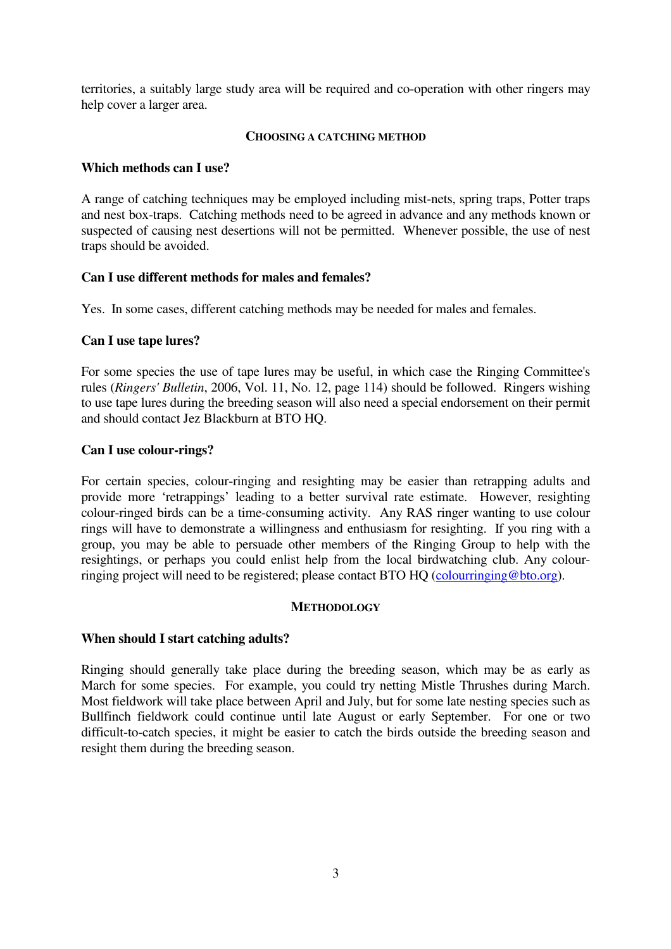territories, a suitably large study area will be required and co-operation with other ringers may help cover a larger area.

#### **CHOOSING A CATCHING METHOD**

## **Which methods can I use?**

A range of catching techniques may be employed including mist-nets, spring traps, Potter traps and nest box-traps. Catching methods need to be agreed in advance and any methods known or suspected of causing nest desertions will not be permitted. Whenever possible, the use of nest traps should be avoided.

## **Can I use different methods for males and females?**

Yes. In some cases, different catching methods may be needed for males and females.

## **Can I use tape lures?**

For some species the use of tape lures may be useful, in which case the Ringing Committee's rules (*Ringers' Bulletin*, 2006, Vol. 11, No. 12, page 114) should be followed. Ringers wishing to use tape lures during the breeding season will also need a special endorsement on their permit and should contact Jez Blackburn at BTO HQ.

## **Can I use colour-rings?**

For certain species, colour-ringing and resighting may be easier than retrapping adults and provide more 'retrappings' leading to a better survival rate estimate. However, resighting colour-ringed birds can be a time-consuming activity. Any RAS ringer wanting to use colour rings will have to demonstrate a willingness and enthusiasm for resighting. If you ring with a group, you may be able to persuade other members of the Ringing Group to help with the resightings, or perhaps you could enlist help from the local birdwatching club. Any colourringing project will need to be registered; please contact BTO HQ (colourringing@bto.org).

## **METHODOLOGY**

## **When should I start catching adults?**

Ringing should generally take place during the breeding season, which may be as early as March for some species. For example, you could try netting Mistle Thrushes during March. Most fieldwork will take place between April and July, but for some late nesting species such as Bullfinch fieldwork could continue until late August or early September. For one or two difficult-to-catch species, it might be easier to catch the birds outside the breeding season and resight them during the breeding season.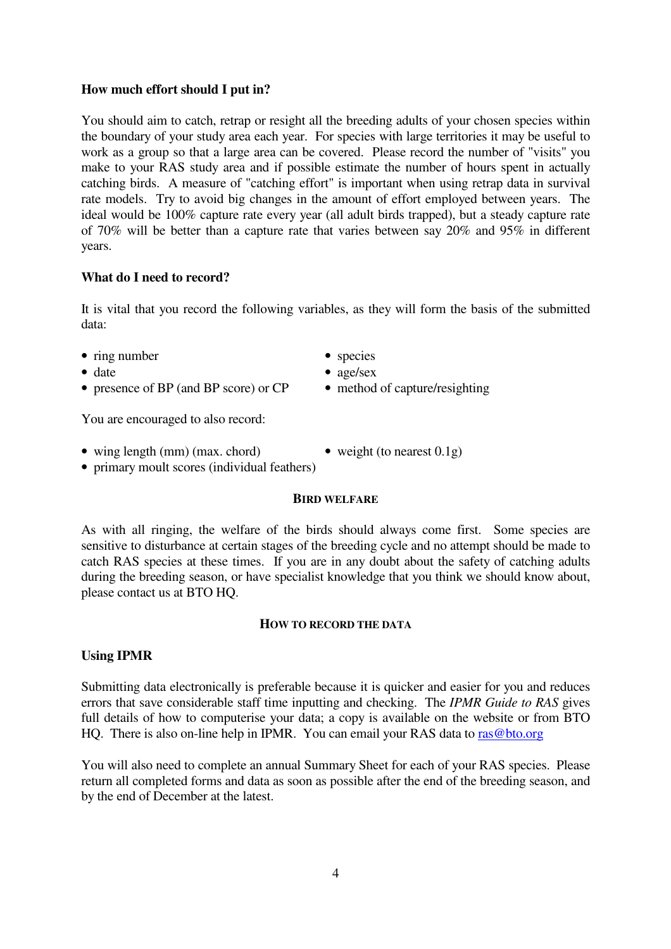## **How much effort should I put in?**

You should aim to catch, retrap or resight all the breeding adults of your chosen species within the boundary of your study area each year. For species with large territories it may be useful to work as a group so that a large area can be covered. Please record the number of "visits" you make to your RAS study area and if possible estimate the number of hours spent in actually catching birds. A measure of "catching effort" is important when using retrap data in survival rate models. Try to avoid big changes in the amount of effort employed between years. The ideal would be 100% capture rate every year (all adult birds trapped), but a steady capture rate of 70% will be better than a capture rate that varies between say 20% and 95% in different years.

#### **What do I need to record?**

It is vital that you record the following variables, as they will form the basis of the submitted data:

- ring number species
- 
- presence of BP (and BP score) or CP method of capture/resighting

- date age/sex
	-

You are encouraged to also record:

- wing length (mm) (max. chord) weight (to nearest  $0.1g$ )
	-
- primary moult scores (individual feathers)

#### **BIRD WELFARE**

As with all ringing, the welfare of the birds should always come first. Some species are sensitive to disturbance at certain stages of the breeding cycle and no attempt should be made to catch RAS species at these times. If you are in any doubt about the safety of catching adults during the breeding season, or have specialist knowledge that you think we should know about, please contact us at BTO HQ.

#### **HOW TO RECORD THE DATA**

#### **Using IPMR**

Submitting data electronically is preferable because it is quicker and easier for you and reduces errors that save considerable staff time inputting and checking. The *IPMR Guide to RAS* gives full details of how to computerise your data; a copy is available on the website or from BTO HQ. There is also on-line help in IPMR. You can email your RAS data to ras@bto.org

You will also need to complete an annual Summary Sheet for each of your RAS species. Please return all completed forms and data as soon as possible after the end of the breeding season, and by the end of December at the latest.